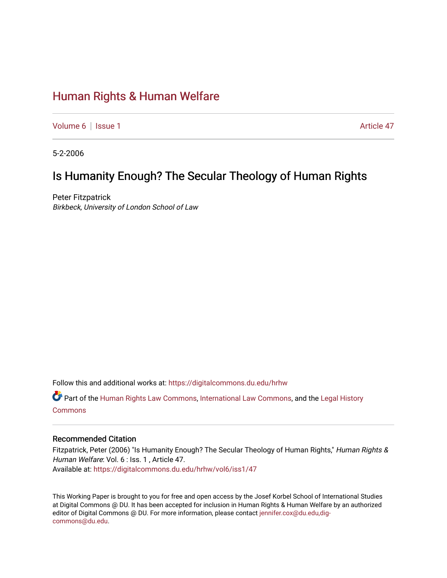# [Human Rights & Human Welfare](https://digitalcommons.du.edu/hrhw)

[Volume 6](https://digitalcommons.du.edu/hrhw/vol6) | [Issue 1](https://digitalcommons.du.edu/hrhw/vol6/iss1) Article 47

5-2-2006

# Is Humanity Enough? The Secular Theology of Human Rights

Peter Fitzpatrick Birkbeck, University of London School of Law

Follow this and additional works at: [https://digitalcommons.du.edu/hrhw](https://digitalcommons.du.edu/hrhw?utm_source=digitalcommons.du.edu%2Fhrhw%2Fvol6%2Fiss1%2F47&utm_medium=PDF&utm_campaign=PDFCoverPages)

Part of the [Human Rights Law Commons,](http://network.bepress.com/hgg/discipline/847?utm_source=digitalcommons.du.edu%2Fhrhw%2Fvol6%2Fiss1%2F47&utm_medium=PDF&utm_campaign=PDFCoverPages) [International Law Commons](http://network.bepress.com/hgg/discipline/609?utm_source=digitalcommons.du.edu%2Fhrhw%2Fvol6%2Fiss1%2F47&utm_medium=PDF&utm_campaign=PDFCoverPages), and the [Legal History](http://network.bepress.com/hgg/discipline/904?utm_source=digitalcommons.du.edu%2Fhrhw%2Fvol6%2Fiss1%2F47&utm_medium=PDF&utm_campaign=PDFCoverPages)  [Commons](http://network.bepress.com/hgg/discipline/904?utm_source=digitalcommons.du.edu%2Fhrhw%2Fvol6%2Fiss1%2F47&utm_medium=PDF&utm_campaign=PDFCoverPages)

## Recommended Citation

Fitzpatrick, Peter (2006) "Is Humanity Enough? The Secular Theology of Human Rights," Human Rights & Human Welfare: Vol. 6 : Iss. 1, Article 47. Available at: [https://digitalcommons.du.edu/hrhw/vol6/iss1/47](https://digitalcommons.du.edu/hrhw/vol6/iss1/47?utm_source=digitalcommons.du.edu%2Fhrhw%2Fvol6%2Fiss1%2F47&utm_medium=PDF&utm_campaign=PDFCoverPages) 

This Working Paper is brought to you for free and open access by the Josef Korbel School of International Studies at Digital Commons @ DU. It has been accepted for inclusion in Human Rights & Human Welfare by an authorized editor of Digital Commons @ DU. For more information, please contact [jennifer.cox@du.edu,dig](mailto:jennifer.cox@du.edu,dig-commons@du.edu)[commons@du.edu.](mailto:jennifer.cox@du.edu,dig-commons@du.edu)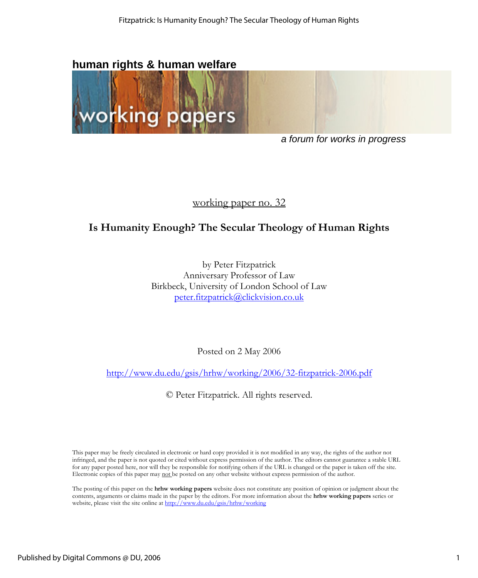# **human rights & human welfare**



*a forum for works in progress* 

## working paper no. 32

# **Is Humanity Enough? The Secular Theology of Human Rights**

by Peter Fitzpatrick Anniversary Professor of Law Birkbeck, University of London School of Law [peter.fitzpatrick@clickvision.co.uk](mailto:peter.fitzpatrick@clickvision.co.uk)

Posted on 2 May 2006

<http://www.du.edu/gsis/hrhw/working/2006/32-fitzpatrick-2006.pdf>

© Peter Fitzpatrick. All rights reserved.

This paper may be freely circulated in electronic or hard copy provided it is not modified in any way, the rights of the author not infringed, and the paper is not quoted or cited without express permission of the author. The editors cannot guarantee a stable URL for any paper posted here, nor will they be responsible for notifying others if the URL is changed or the paper is taken off the site. Electronic copies of this paper may not be posted on any other website without express permission of the author.

The posting of this paper on the **hrhw working papers** website does not constitute any position of opinion or judgment about the contents, arguments or claims made in the paper by the editors. For more information about the **hrhw working papers** series or website, please visit the site online at http://www.du.edu/gsis/hrhw/working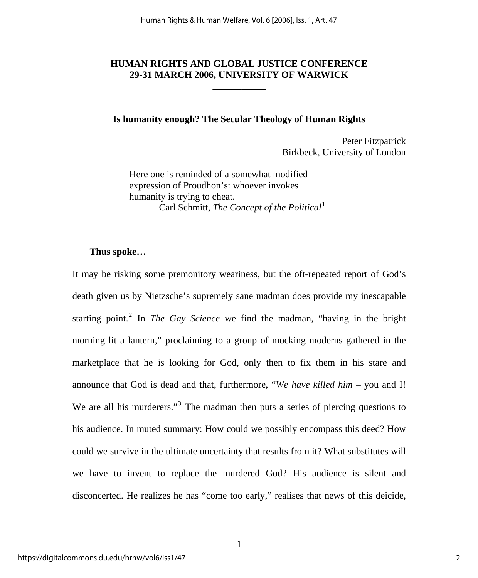## **HUMAN RIGHTS AND GLOBAL JUSTICE CONFERENCE 29-31 MARCH 2006, UNIVERSITY OF WARWICK**

**\_\_\_\_\_\_\_\_\_\_\_** 

### **Is humanity enough? The Secular Theology of Human Rights**

Peter Fitzpatrick Birkbeck, University of London

Here one is reminded of a somewhat modified expression of Proudhon's: whoever invokes humanity is trying to cheat. Carl Schmitt, *The Concept of the Political*<sup>[1](#page-18-0)</sup>

## **Thus spoke…**

It may be risking some premonitory weariness, but the oft-repeated report of God's death given us by Nietzsche's supremely sane madman does provide my inescapable starting point.<sup>[2](#page-18-1)</sup> In *The Gay Science* we find the madman, "having in the bright morning lit a lantern," proclaiming to a group of mocking moderns gathered in the marketplace that he is looking for God, only then to fix them in his stare and announce that God is dead and that, furthermore, "*We have killed him* – you and I! We are all his murderers."<sup>[3](#page-18-1)</sup> The madman then puts a series of piercing questions to his audience. In muted summary: How could we possibly encompass this deed? How could we survive in the ultimate uncertainty that results from it? What substitutes will we have to invent to replace the murdered God? His audience is silent and disconcerted. He realizes he has "come too early," realises that news of this deicide,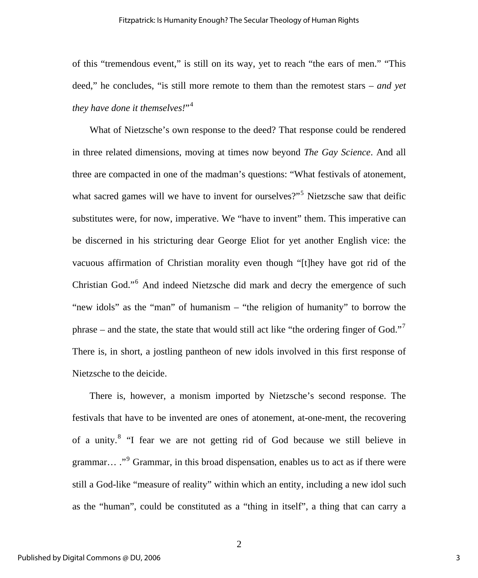of this "tremendous event," is still on its way, yet to reach "the ears of men." "This deed," he concludes, "is still more remote to them than the remotest stars – *and yet they have done it themselves!*"[4](#page-18-1)

What of Nietzsche's own response to the deed? That response could be rendered in three related dimensions, moving at times now beyond *The Gay Science*. And all three are compacted in one of the madman's questions: "What festivals of atonement, what sacred games will we have to invent for ourselves?"<sup>[5](#page-18-1)</sup> Nietzsche saw that deific substitutes were, for now, imperative. We "have to invent" them. This imperative can be discerned in his stricturing dear George Eliot for yet another English vice: the vacuous affirmation of Christian morality even though "[t]hey have got rid of the Christian God."<sup>[6](#page-18-1)</sup> And indeed Nietzsche did mark and decry the emergence of such "new idols" as the "man" of humanism – "the religion of humanity" to borrow the phrase – and the state, the state that would still act like "the ordering finger of God."<sup>[7](#page-18-1)</sup> There is, in short, a jostling pantheon of new idols involved in this first response of Nietzsche to the deicide.

There is, however, a monism imported by Nietzsche's second response. The festivals that have to be invented are ones of atonement, at-one-ment, the recovering of a unity.<sup>[8](#page-18-1)</sup> "I fear we are not getting rid of God because we still believe in grammar... ."<sup>[9](#page-19-0)</sup> Grammar, in this broad dispensation, enables us to act as if there were still a God-like "measure of reality" within which an entity, including a new idol such as the "human", could be constituted as a "thing in itself", a thing that can carry a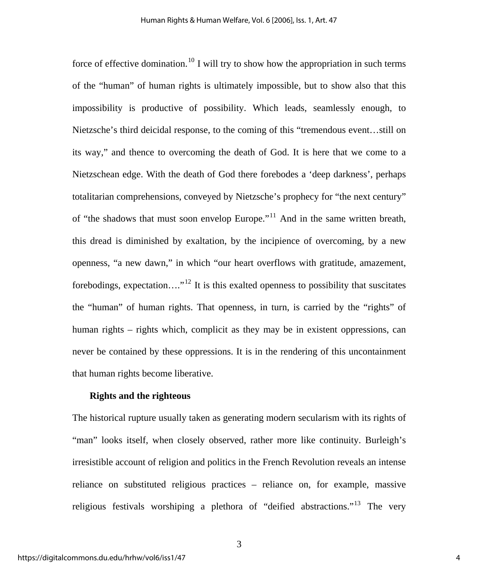force of effective domination.<sup>[10](#page-19-0)</sup> I will try to show how the appropriation in such terms of the "human" of human rights is ultimately impossible, but to show also that this impossibility is productive of possibility. Which leads, seamlessly enough, to Nietzsche's third deicidal response, to the coming of this "tremendous event…still on its way," and thence to overcoming the death of God. It is here that we come to a Nietzschean edge. With the death of God there forebodes a 'deep darkness', perhaps totalitarian comprehensions, conveyed by Nietzsche's prophecy for "the next century" of "the shadows that must soon envelop Europe."[11](#page-19-0) And in the same written breath, this dread is diminished by exaltation, by the incipience of overcoming, by a new openness, "a new dawn," in which "our heart overflows with gratitude, amazement, forebodings, expectation...."<sup>[12](#page-19-0)</sup> It is this exalted openness to possibility that suscitates the "human" of human rights. That openness, in turn, is carried by the "rights" of human rights – rights which, complicit as they may be in existent oppressions, can never be contained by these oppressions. It is in the rendering of this uncontainment that human rights become liberative.

#### **Rights and the righteous**

The historical rupture usually taken as generating modern secularism with its rights of "man" looks itself, when closely observed, rather more like continuity. Burleigh's irresistible account of religion and politics in the French Revolution reveals an intense reliance on substituted religious practices – reliance on, for example, massive religious festivals worshiping a plethora of "deified abstractions."[13](#page-19-0) The very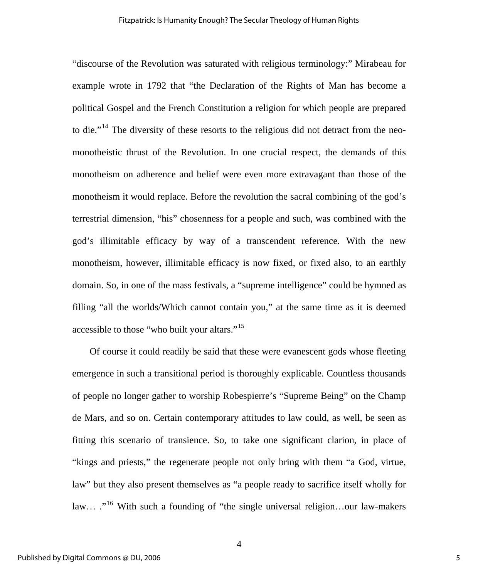"discourse of the Revolution was saturated with religious terminology:" Mirabeau for example wrote in 1792 that "the Declaration of the Rights of Man has become a political Gospel and the French Constitution a religion for which people are prepared to die."<sup>[14](#page-19-0)</sup> The diversity of these resorts to the religious did not detract from the neomonotheistic thrust of the Revolution. In one crucial respect, the demands of this monotheism on adherence and belief were even more extravagant than those of the monotheism it would replace. Before the revolution the sacral combining of the god's terrestrial dimension, "his" chosenness for a people and such, was combined with the god's illimitable efficacy by way of a transcendent reference. With the new monotheism, however, illimitable efficacy is now fixed, or fixed also, to an earthly domain. So, in one of the mass festivals, a "supreme intelligence" could be hymned as filling "all the worlds/Which cannot contain you," at the same time as it is deemed accessible to those "who built your altars."<sup>[15](#page-19-0)</sup>

Of course it could readily be said that these were evanescent gods whose fleeting emergence in such a transitional period is thoroughly explicable. Countless thousands of people no longer gather to worship Robespierre's "Supreme Being" on the Champ de Mars, and so on. Certain contemporary attitudes to law could, as well, be seen as fitting this scenario of transience. So, to take one significant clarion, in place of "kings and priests," the regenerate people not only bring with them "a God, virtue, law" but they also present themselves as "a people ready to sacrifice itself wholly for law... ."<sup>[16](#page-19-0)</sup> With such a founding of "the single universal religion...our law-makers"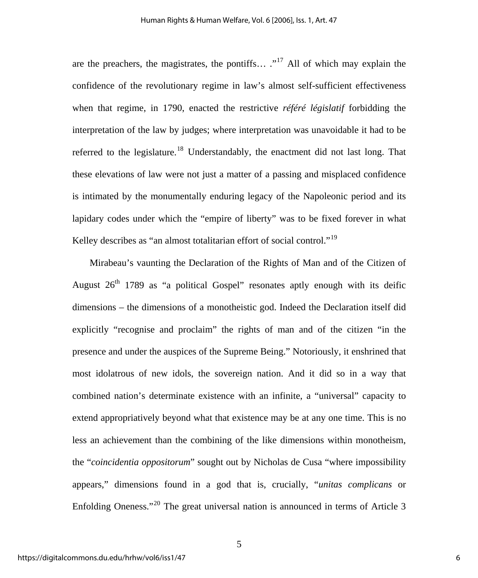are the preachers, the magistrates, the pontiffs...  $.^{17}$  $.^{17}$  $.^{17}$  All of which may explain the confidence of the revolutionary regime in law's almost self-sufficient effectiveness when that regime, in 1790, enacted the restrictive *référé législatif* forbidding the interpretation of the law by judges; where interpretation was unavoidable it had to be referred to the legislature.<sup>[18](#page-19-0)</sup> Understandably, the enactment did not last long. That these elevations of law were not just a matter of a passing and misplaced confidence is intimated by the monumentally enduring legacy of the Napoleonic period and its lapidary codes under which the "empire of liberty" was to be fixed forever in what Kelley describes as "an almost totalitarian effort of social control."<sup>[19](#page-19-0)</sup>

Mirabeau's vaunting the Declaration of the Rights of Man and of the Citizen of August  $26<sup>th</sup>$  1789 as "a political Gospel" resonates aptly enough with its deific dimensions – the dimensions of a monotheistic god. Indeed the Declaration itself did explicitly "recognise and proclaim" the rights of man and of the citizen "in the presence and under the auspices of the Supreme Being." Notoriously, it enshrined that most idolatrous of new idols, the sovereign nation. And it did so in a way that combined nation's determinate existence with an infinite, a "universal" capacity to extend appropriatively beyond what that existence may be at any one time. This is no less an achievement than the combining of the like dimensions within monotheism, the "*coincidentia oppositorum*" sought out by Nicholas de Cusa "where impossibility appears," dimensions found in a god that is, crucially, "*unitas complicans* or Enfolding Oneness."[20](#page-19-0) The great universal nation is announced in terms of Article 3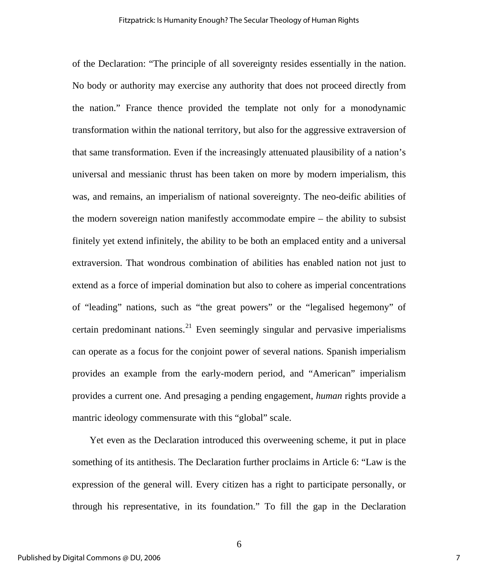of the Declaration: "The principle of all sovereignty resides essentially in the nation. No body or authority may exercise any authority that does not proceed directly from the nation." France thence provided the template not only for a monodynamic transformation within the national territory, but also for the aggressive extraversion of that same transformation. Even if the increasingly attenuated plausibility of a nation's universal and messianic thrust has been taken on more by modern imperialism, this was, and remains, an imperialism of national sovereignty. The neo-deific abilities of the modern sovereign nation manifestly accommodate empire – the ability to subsist finitely yet extend infinitely, the ability to be both an emplaced entity and a universal extraversion. That wondrous combination of abilities has enabled nation not just to extend as a force of imperial domination but also to cohere as imperial concentrations of "leading" nations, such as "the great powers" or the "legalised hegemony" of certain predominant nations.<sup>[21](#page-20-0)</sup> Even seemingly singular and pervasive imperialisms can operate as a focus for the conjoint power of several nations. Spanish imperialism provides an example from the early-modern period, and "American" imperialism provides a current one. And presaging a pending engagement, *human* rights provide a mantric ideology commensurate with this "global" scale.

Yet even as the Declaration introduced this overweening scheme, it put in place something of its antithesis. The Declaration further proclaims in Article 6: "Law is the expression of the general will. Every citizen has a right to participate personally, or through his representative, in its foundation." To fill the gap in the Declaration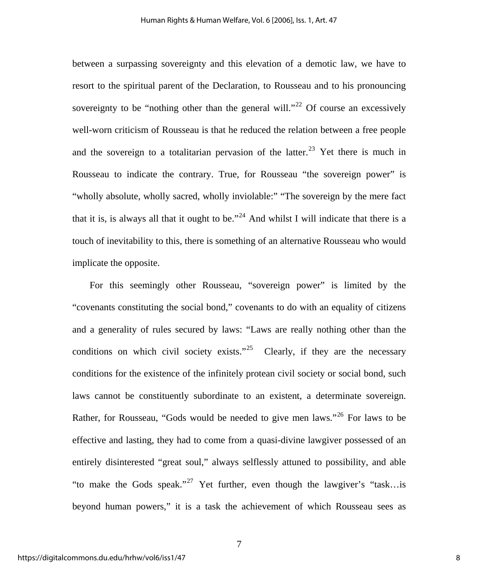between a surpassing sovereignty and this elevation of a demotic law, we have to resort to the spiritual parent of the Declaration, to Rousseau and to his pronouncing sovereignty to be "nothing other than the general will."<sup>[22](#page-20-0)</sup> Of course an excessively well-worn criticism of Rousseau is that he reduced the relation between a free people and the sovereign to a totalitarian pervasion of the latter.<sup>[23](#page-20-0)</sup> Yet there is much in Rousseau to indicate the contrary. True, for Rousseau "the sovereign power" is "wholly absolute, wholly sacred, wholly inviolable:" "The sovereign by the mere fact that it is, is always all that it ought to be."<sup>[24](#page-20-0)</sup> And whilst I will indicate that there is a touch of inevitability to this, there is something of an alternative Rousseau who would implicate the opposite.

For this seemingly other Rousseau, "sovereign power" is limited by the "covenants constituting the social bond," covenants to do with an equality of citizens and a generality of rules secured by laws: "Laws are really nothing other than the conditions on which civil society exists."<sup>[25](#page-20-0)</sup> Clearly, if they are the necessary conditions for the existence of the infinitely protean civil society or social bond, such laws cannot be constituently subordinate to an existent, a determinate sovereign. Rather, for Rousseau, "Gods would be needed to give men laws."<sup>[26](#page-20-0)</sup> For laws to be effective and lasting, they had to come from a quasi-divine lawgiver possessed of an entirely disinterested "great soul," always selflessly attuned to possibility, and able "to make the Gods speak."<sup>[27](#page-20-0)</sup> Yet further, even though the lawgiver's "task...is" beyond human powers," it is a task the achievement of which Rousseau sees as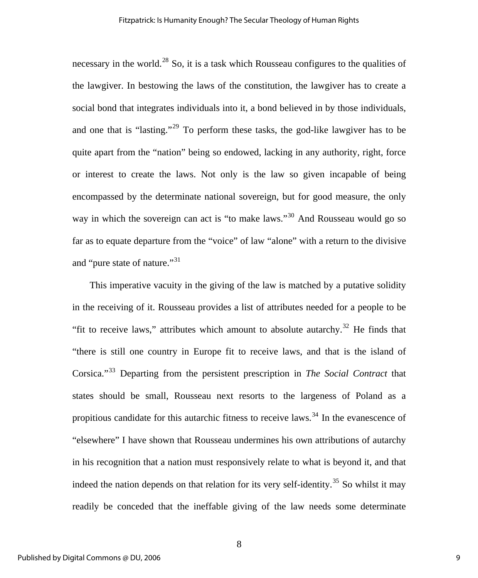necessary in the world.<sup>[28](#page-20-0)</sup> So, it is a task which Rousseau configures to the qualities of the lawgiver. In bestowing the laws of the constitution, the lawgiver has to create a social bond that integrates individuals into it, a bond believed in by those individuals, and one that is "lasting."<sup>[29](#page-20-0)</sup> To perform these tasks, the god-like lawgiver has to be quite apart from the "nation" being so endowed, lacking in any authority, right, force or interest to create the laws. Not only is the law so given incapable of being encompassed by the determinate national sovereign, but for good measure, the only way in which the sovereign can act is "to make laws."<sup>[30](#page-20-0)</sup> And Rousseau would go so far as to equate departure from the "voice" of law "alone" with a return to the divisive and "pure state of nature."<sup>31</sup>

This imperative vacuity in the giving of the law is matched by a putative solidity in the receiving of it. Rousseau provides a list of attributes needed for a people to be "fit to receive laws," attributes which amount to absolute autarchy.<sup>[32](#page-20-0)</sup> He finds that "there is still one country in Europe fit to receive laws, and that is the island of Corsica."[33](#page-20-0) Departing from the persistent prescription in *The Social Contract* that states should be small, Rousseau next resorts to the largeness of Poland as a propitious candidate for this autarchic fitness to receive laws.<sup>[34](#page-20-0)</sup> In the evanescence of "elsewhere" I have shown that Rousseau undermines his own attributions of autarchy in his recognition that a nation must responsively relate to what is beyond it, and that indeed the nation depends on that relation for its very self-identity.<sup>[35](#page-20-0)</sup> So whilst it may readily be conceded that the ineffable giving of the law needs some determinate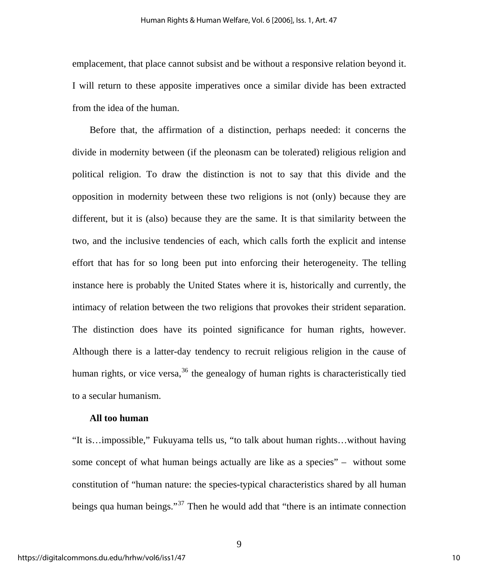emplacement, that place cannot subsist and be without a responsive relation beyond it. I will return to these apposite imperatives once a similar divide has been extracted from the idea of the human.

Before that, the affirmation of a distinction, perhaps needed: it concerns the divide in modernity between (if the pleonasm can be tolerated) religious religion and political religion. To draw the distinction is not to say that this divide and the opposition in modernity between these two religions is not (only) because they are different, but it is (also) because they are the same. It is that similarity between the two, and the inclusive tendencies of each, which calls forth the explicit and intense effort that has for so long been put into enforcing their heterogeneity. The telling instance here is probably the United States where it is, historically and currently, the intimacy of relation between the two religions that provokes their strident separation. The distinction does have its pointed significance for human rights, however. Although there is a latter-day tendency to recruit religious religion in the cause of human rights, or vice versa,  $36$  the genealogy of human rights is characteristically tied to a secular humanism.

#### **All too human**

"It is…impossible," Fukuyama tells us, "to talk about human rights…without having some concept of what human beings actually are like as a species" – without some constitution of "human nature: the species-typical characteristics shared by all human beings qua human beings."<sup>[37](#page-21-0)</sup> Then he would add that "there is an intimate connection"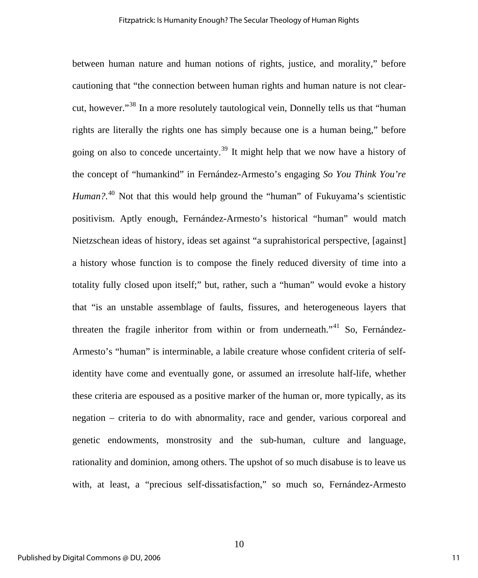between human nature and human notions of rights, justice, and morality," before cautioning that "the connection between human rights and human nature is not clearcut, however."[38](#page-21-0) In a more resolutely tautological vein, Donnelly tells us that "human rights are literally the rights one has simply because one is a human being," before going on also to concede uncertainty.[39](#page-21-0) It might help that we now have a history of the concept of "humankind" in Fernández-Armesto's engaging *So You Think You're*  Human?.<sup>[40](#page-21-0)</sup> Not that this would help ground the "human" of Fukuyama's scientistic positivism. Aptly enough, Fernández-Armesto's historical "human" would match Nietzschean ideas of history, ideas set against "a suprahistorical perspective, [against] a history whose function is to compose the finely reduced diversity of time into a totality fully closed upon itself;" but, rather, such a "human" would evoke a history that "is an unstable assemblage of faults, fissures, and heterogeneous layers that threaten the fragile inheritor from within or from underneath."<sup>[41](#page-21-0)</sup> So, Fernández-Armesto's "human" is interminable, a labile creature whose confident criteria of selfidentity have come and eventually gone, or assumed an irresolute half-life, whether these criteria are espoused as a positive marker of the human or, more typically, as its negation – criteria to do with abnormality, race and gender, various corporeal and genetic endowments, monstrosity and the sub-human, culture and language, rationality and dominion, among others. The upshot of so much disabuse is to leave us with, at least, a "precious self-dissatisfaction," so much so, Fernández-Armesto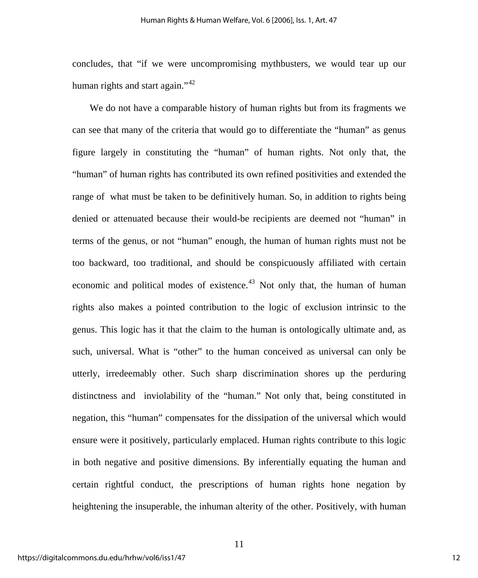concludes, that "if we were uncompromising mythbusters, we would tear up our human rights and start again." $42$ 

We do not have a comparable history of human rights but from its fragments we can see that many of the criteria that would go to differentiate the "human" as genus figure largely in constituting the "human" of human rights. Not only that, the "human" of human rights has contributed its own refined positivities and extended the range of what must be taken to be definitively human. So, in addition to rights being denied or attenuated because their would-be recipients are deemed not "human" in terms of the genus, or not "human" enough, the human of human rights must not be too backward, too traditional, and should be conspicuously affiliated with certain economic and political modes of existence.<sup>[43](#page-21-0)</sup> Not only that, the human of human rights also makes a pointed contribution to the logic of exclusion intrinsic to the genus. This logic has it that the claim to the human is ontologically ultimate and, as such, universal. What is "other" to the human conceived as universal can only be utterly, irredeemably other. Such sharp discrimination shores up the perduring distinctness and inviolability of the "human." Not only that, being constituted in negation, this "human" compensates for the dissipation of the universal which would ensure were it positively, particularly emplaced. Human rights contribute to this logic in both negative and positive dimensions. By inferentially equating the human and certain rightful conduct, the prescriptions of human rights hone negation by heightening the insuperable, the inhuman alterity of the other. Positively, with human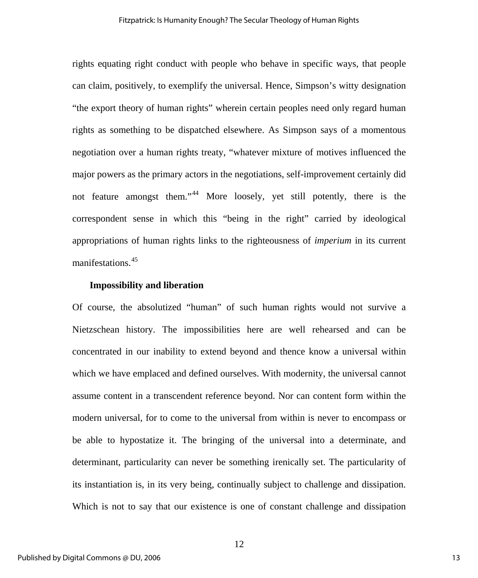rights equating right conduct with people who behave in specific ways, that people can claim, positively, to exemplify the universal. Hence, Simpson's witty designation "the export theory of human rights" wherein certain peoples need only regard human rights as something to be dispatched elsewhere. As Simpson says of a momentous negotiation over a human rights treaty, "whatever mixture of motives influenced the major powers as the primary actors in the negotiations, self-improvement certainly did not feature amongst them."<sup>[44](#page-21-0)</sup> More loosely, yet still potently, there is the correspondent sense in which this "being in the right" carried by ideological appropriations of human rights links to the righteousness of *imperium* in its current manifestations.<sup>[45](#page-21-0)</sup>

#### **Impossibility and liberation**

Of course, the absolutized "human" of such human rights would not survive a Nietzschean history. The impossibilities here are well rehearsed and can be concentrated in our inability to extend beyond and thence know a universal within which we have emplaced and defined ourselves. With modernity, the universal cannot assume content in a transcendent reference beyond. Nor can content form within the modern universal, for to come to the universal from within is never to encompass or be able to hypostatize it. The bringing of the universal into a determinate, and determinant, particularity can never be something irenically set. The particularity of its instantiation is, in its very being, continually subject to challenge and dissipation. Which is not to say that our existence is one of constant challenge and dissipation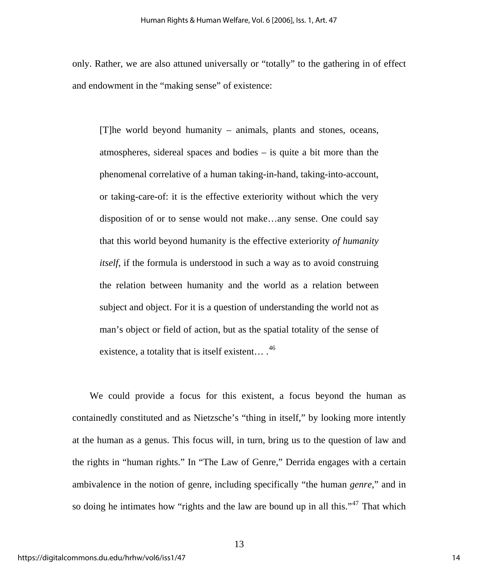only. Rather, we are also attuned universally or "totally" to the gathering in of effect and endowment in the "making sense" of existence:

[T]he world beyond humanity – animals, plants and stones, oceans, atmospheres, sidereal spaces and bodies – is quite a bit more than the phenomenal correlative of a human taking-in-hand, taking-into-account, or taking-care-of: it is the effective exteriority without which the very disposition of or to sense would not make…any sense. One could say that this world beyond humanity is the effective exteriority *of humanity itself*, if the formula is understood in such a way as to avoid construing the relation between humanity and the world as a relation between subject and object. For it is a question of understanding the world not as man's object or field of action, but as the spatial totality of the sense of existence, a totality that is itself existent...  $^{46}$  $^{46}$  $^{46}$ 

We could provide a focus for this existent, a focus beyond the human as containedly constituted and as Nietzsche's "thing in itself," by looking more intently at the human as a genus. This focus will, in turn, bring us to the question of law and the rights in "human rights." In "The Law of Genre," Derrida engages with a certain ambivalence in the notion of genre, including specifically "the human *genre*," and in so doing he intimates how "rights and the law are bound up in all this."<sup>[47](#page-22-0)</sup> That which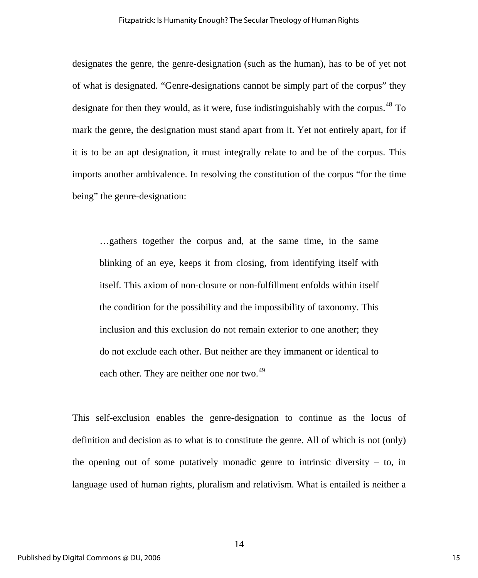designates the genre, the genre-designation (such as the human), has to be of yet not of what is designated. "Genre-designations cannot be simply part of the corpus" they designate for then they would, as it were, fuse indistinguishably with the corpus.<sup>[48](#page-22-0)</sup> To mark the genre, the designation must stand apart from it. Yet not entirely apart, for if it is to be an apt designation, it must integrally relate to and be of the corpus. This imports another ambivalence. In resolving the constitution of the corpus "for the time being" the genre-designation:

…gathers together the corpus and, at the same time, in the same blinking of an eye, keeps it from closing, from identifying itself with itself. This axiom of non-closure or non-fulfillment enfolds within itself the condition for the possibility and the impossibility of taxonomy. This inclusion and this exclusion do not remain exterior to one another; they do not exclude each other. But neither are they immanent or identical to each other. They are neither one nor two.<sup>[49](#page-22-0)</sup>

This self-exclusion enables the genre-designation to continue as the locus of definition and decision as to what is to constitute the genre. All of which is not (only) the opening out of some putatively monadic genre to intrinsic diversity  $-$  to, in language used of human rights, pluralism and relativism. What is entailed is neither a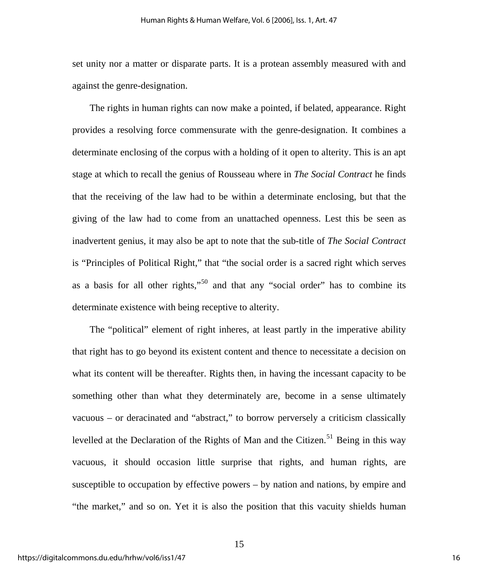set unity nor a matter or disparate parts. It is a protean assembly measured with and against the genre-designation.

The rights in human rights can now make a pointed, if belated, appearance. Right provides a resolving force commensurate with the genre-designation. It combines a determinate enclosing of the corpus with a holding of it open to alterity. This is an apt stage at which to recall the genius of Rousseau where in *The Social Contract* he finds that the receiving of the law had to be within a determinate enclosing, but that the giving of the law had to come from an unattached openness. Lest this be seen as inadvertent genius, it may also be apt to note that the sub-title of *The Social Contract* is "Principles of Political Right," that "the social order is a sacred right which serves as a basis for all other rights,"[50](#page-22-0) and that any "social order" has to combine its determinate existence with being receptive to alterity.

The "political" element of right inheres, at least partly in the imperative ability that right has to go beyond its existent content and thence to necessitate a decision on what its content will be thereafter. Rights then, in having the incessant capacity to be something other than what they determinately are, become in a sense ultimately vacuous – or deracinated and "abstract," to borrow perversely a criticism classically levelled at the Declaration of the Rights of Man and the Citizen.<sup>[51](#page-22-0)</sup> Being in this way vacuous, it should occasion little surprise that rights, and human rights, are susceptible to occupation by effective powers – by nation and nations, by empire and "the market," and so on. Yet it is also the position that this vacuity shields human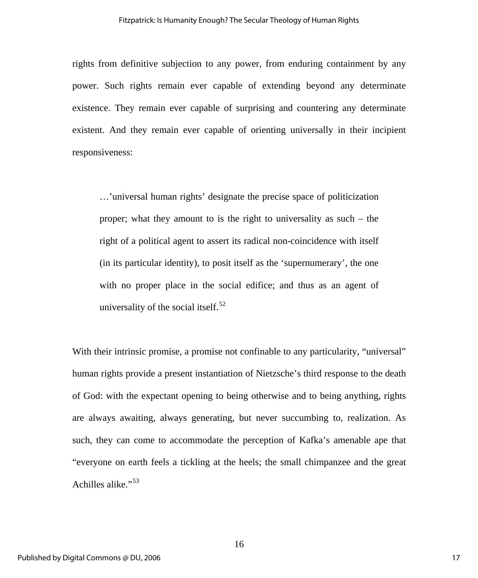rights from definitive subjection to any power, from enduring containment by any power. Such rights remain ever capable of extending beyond any determinate existence. They remain ever capable of surprising and countering any determinate existent. And they remain ever capable of orienting universally in their incipient responsiveness:

…'universal human rights' designate the precise space of politicization proper; what they amount to is the right to universality as such – the right of a political agent to assert its radical non-coincidence with itself (in its particular identity), to posit itself as the 'supernumerary', the one with no proper place in the social edifice; and thus as an agent of universality of the social itself. $52$ 

With their intrinsic promise, a promise not confinable to any particularity, "universal" human rights provide a present instantiation of Nietzsche's third response to the death of God: with the expectant opening to being otherwise and to being anything, rights are always awaiting, always generating, but never succumbing to, realization. As such, they can come to accommodate the perception of Kafka's amenable ape that "everyone on earth feels a tickling at the heels; the small chimpanzee and the great Achilles alike."<sup>[53](#page-22-0)</sup>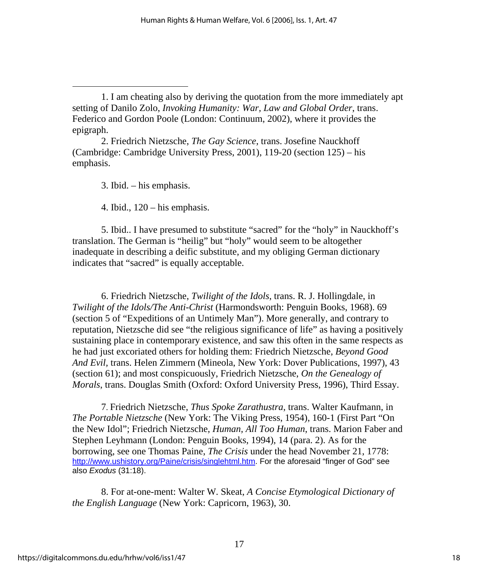2. Friedrich Nietzsche, *The Gay Science*, trans. Josefine Nauckhoff (Cambridge: Cambridge University Press, 2001), 119-20 (section 125) – his emphasis.

3. Ibid. – his emphasis.

<span id="page-18-1"></span> $\overline{a}$ 

4. Ibid.,  $120 - \text{his emphasis.}$ 

5. Ibid.. I have presumed to substitute "sacred" for the "holy" in Nauckhoff's translation. The German is "heilig" but "holy" would seem to be altogether inadequate in describing a deific substitute, and my obliging German dictionary indicates that "sacred" is equally acceptable.

 6. Friedrich Nietzsche, *Twilight of the Idols*, trans. R. J. Hollingdale, in *Twilight of the Idols/The Anti-Christ* (Harmondsworth: Penguin Books, 1968). 69 (section 5 of "Expeditions of an Untimely Man"). More generally, and contrary to reputation, Nietzsche did see "the religious significance of life" as having a positively sustaining place in contemporary existence, and saw this often in the same respects as he had just excoriated others for holding them: Friedrich Nietzsche, *Beyond Good And Evil,* trans. Helen Zimmern (Mineola, New York: Dover Publications, 1997), 43 (section 61); and most conspicuously, Friedrich Nietzsche, *On the Genealogy of Morals*, trans. Douglas Smith (Oxford: Oxford University Press, 1996), Third Essay.

7. Friedrich Nietzsche, *Thus Spoke Zarathustra*, trans. Walter Kaufmann, in *The Portable Nietzsche* (New York: The Viking Press, 1954), 160-1 (First Part "On the New Idol"; Friedrich Nietzsche, *Human, All Too Human*, trans. Marion Faber and Stephen Leyhmann (London: Penguin Books, 1994), 14 (para. 2). As for the borrowing, see one Thomas Paine, *The Crisis* under the head November 21, 1778: [http://www.ushistory.org/Paine/crisis/singlehtml.htm.](http://www.ushistory.org/Paine/crisis/singlehtml.htm) For the aforesaid "finger of God" see also *Exodus* (31:18).

8. For at-one-ment: Walter W. Skeat, *A Concise Etymological Dictionary of the English Language* (New York: Capricorn, 1963), 30.

<span id="page-18-0"></span><sup>1.</sup> I am cheating also by deriving the quotation from the more immediately apt setting of Danilo Zolo, *Invoking Humanity: War, Law and Global Order*, trans. Federico and Gordon Poole (London: Continuum, 2002), where it provides the epigraph.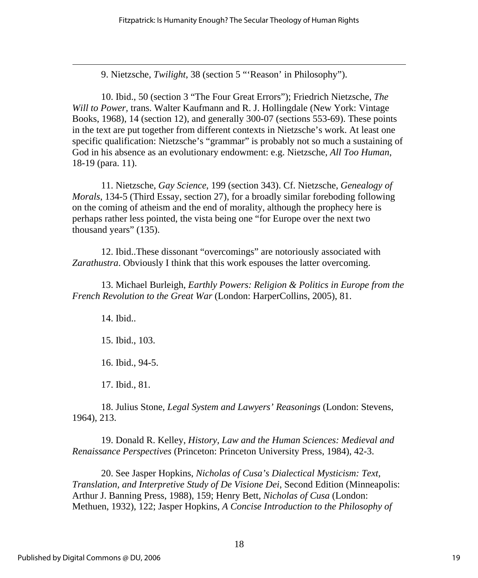9. Nietzsche, *Twilight*, 38 (section 5 "'Reason' in Philosophy").

10. Ibid., 50 (section 3 "The Four Great Errors"); Friedrich Nietzsche, *The Will to Power,* trans. Walter Kaufmann and R. J. Hollingdale (New York: Vintage Books, 1968), 14 (section 12), and generally 300-07 (sections 553-69). These points in the text are put together from different contexts in Nietzsche's work. At least one specific qualification: Nietzsche's "grammar" is probably not so much a sustaining of God in his absence as an evolutionary endowment: e.g. Nietzsche, *All Too Human*, 18-19 (para. 11).

11. Nietzsche, *Gay Science*, 199 (section 343). Cf. Nietzsche, *Genealogy of Morals*, 134-5 (Third Essay, section 27), for a broadly similar foreboding following on the coming of atheism and the end of morality, although the prophecy here is perhaps rather less pointed, the vista being one "for Europe over the next two thousand years" (135).

12. Ibid..These dissonant "overcomings" are notoriously associated with *Zarathustra*. Obviously I think that this work espouses the latter overcoming.

13. Michael Burleigh, *Earthly Powers: Religion & Politics in Europe from the French Revolution to the Great War* (London: HarperCollins, 2005), 81.

14. Ibid..

<span id="page-19-0"></span> $\overline{a}$ 

15. Ibid., 103.

16. Ibid., 94-5.

17. Ibid., 81.

18. Julius Stone, *Legal System and Lawyers' Reasonings* (London: Stevens, 1964), 213.

19. Donald R. Kelley, *History, Law and the Human Sciences: Medieval and Renaissance Perspectives* (Princeton: Princeton University Press, 1984), 42-3.

20. See Jasper Hopkins, *Nicholas of Cusa's Dialectical Mysticism: Text, Translation, and Interpretive Study of De Visione Dei*, Second Edition (Minneapolis: Arthur J. Banning Press, 1988), 159; Henry Bett, *Nicholas of Cusa* (London: Methuen, 1932), 122; Jasper Hopkins, *A Concise Introduction to the Philosophy of*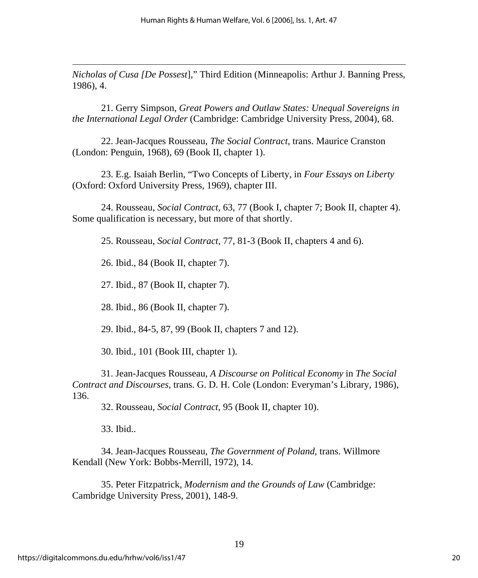<span id="page-20-0"></span>*Nicholas of Cusa [De Possest*]," Third Edition (Minneapolis: Arthur J. Banning Press, 1986), 4.

21. Gerry Simpson, *Great Powers and Outlaw States: Unequal Sovereigns in the International Legal Order* (Cambridge: Cambridge University Press, 2004), 68.

22. Jean-Jacques Rousseau, *The Social Contract*, trans. Maurice Cranston (London: Penguin, 1968), 69 (Book II, chapter 1).

23. E.g. Isaiah Berlin, "Two Concepts of Liberty, in *Four Essays on Liberty* (Oxford: Oxford University Press, 1969), chapter III.

24. Rousseau, *Social Contract*, 63, 77 (Book I, chapter 7; Book II, chapter 4). Some qualification is necessary, but more of that shortly.

25. Rousseau, *Social Contract*, 77, 81-3 (Book II, chapters 4 and 6).

26. Ibid., 84 (Book II, chapter 7).

27. Ibid., 87 (Book II, chapter 7).

28. Ibid., 86 (Book II, chapter 7).

29. Ibid., 84-5, 87, 99 (Book II, chapters 7 and 12).

30. Ibid., 101 (Book III, chapter 1).

31. Jean-Jacques Rousseau, *A Discourse on Political Economy* in *The Social Contract and Discourses*, trans. G. D. H. Cole (London: Everyman's Library, 1986), 136.

32. Rousseau, *Social Contract*, 95 (Book II, chapter 10).

33. Ibid..

 $\overline{a}$ 

34. Jean-Jacques Rousseau, *The Government of Poland*, trans. Willmore Kendall (New York: Bobbs-Merrill, 1972), 14.

35. Peter Fitzpatrick, *Modernism and the Grounds of Law* (Cambridge: Cambridge University Press, 2001), 148-9.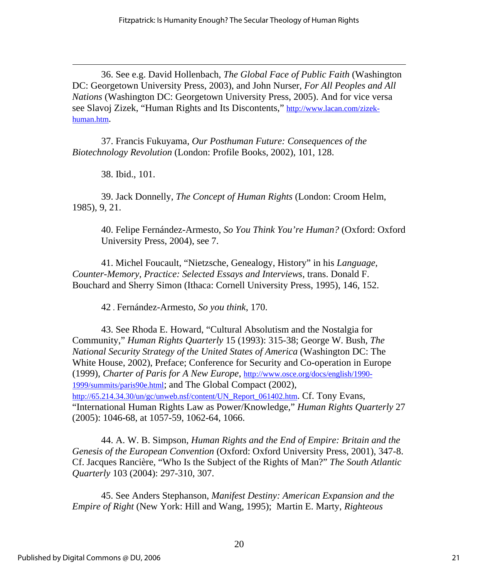<span id="page-21-0"></span>36. See e.g. David Hollenbach, *The Global Face of Public Faith* (Washington DC: Georgetown University Press, 2003), and John Nurser, *For All Peoples and All Nations* (Washington DC: Georgetown University Press, 2005). And for vice versa see Slavoj Zizek, "Human Rights and Its Discontents," [http://www.lacan.com/zizek](http://www.lacan.com/zizek-human.htm)[human.htm](http://www.lacan.com/zizek-human.htm).

37. Francis Fukuyama, *Our Posthuman Future: Consequences of the Biotechnology Revolution* (London: Profile Books, 2002), 101, 128.

38. Ibid., 101.

 $\overline{a}$ 

39. Jack Donnelly, *The Concept of Human Rights* (London: Croom Helm, 1985), 9, 21.

40. Felipe Fernández-Armesto, *So You Think You're Human?* (Oxford: Oxford University Press, 2004), see 7.

41. Michel Foucault, "Nietzsche, Genealogy, History" in his *Language, Counter-Memory, Practice: Selected Essays and Interviews*, trans. Donald F. Bouchard and Sherry Simon (Ithaca: Cornell University Press, 1995), 146, 152.

42 . Fernández-Armesto, *So you think*, 170.

43. See Rhoda E. Howard, "Cultural Absolutism and the Nostalgia for Community," *Human Rights Quarterly* 15 (1993): 315-38; George W. Bush, *The National Security Strategy of the United States of America* (Washington DC: The White House, 2002), Preface; Conference for Security and Co-operation in Europe (1999), *Charter of Paris for A New Europe*, [http://www.osce.org/docs/english/1990-](http://www.osce.org/docs/english/1990-1999/summits/paris90e.html) [1999/summits/paris90e.html](http://www.osce.org/docs/english/1990-1999/summits/paris90e.html); and The Global Compact (2002), [http://65.214.34.30/un/gc/unweb.nsf/content/UN\\_Report\\_061402.htm](http://65.214.34.30/un/gc/unweb.nsf/content/UN_Report_061402.htm). Cf. Tony Evans, "International Human Rights Law as Power/Knowledge," *Human Rights Quarterly* 27 (2005): 1046-68, at 1057-59, 1062-64, 1066.

44. A. W. B. Simpson, *Human Rights and the End of Empire: Britain and the Genesis of the European Convention* (Oxford: Oxford University Press, 2001), 347-8. Cf. Jacques Rancière, "Who Is the Subject of the Rights of Man?" *The South Atlantic Quarterly* 103 (2004): 297-310, 307.

45. See Anders Stephanson, *Manifest Destiny: American Expansion and the Empire of Right* (New York: Hill and Wang, 1995); Martin E. Marty, *Righteous*